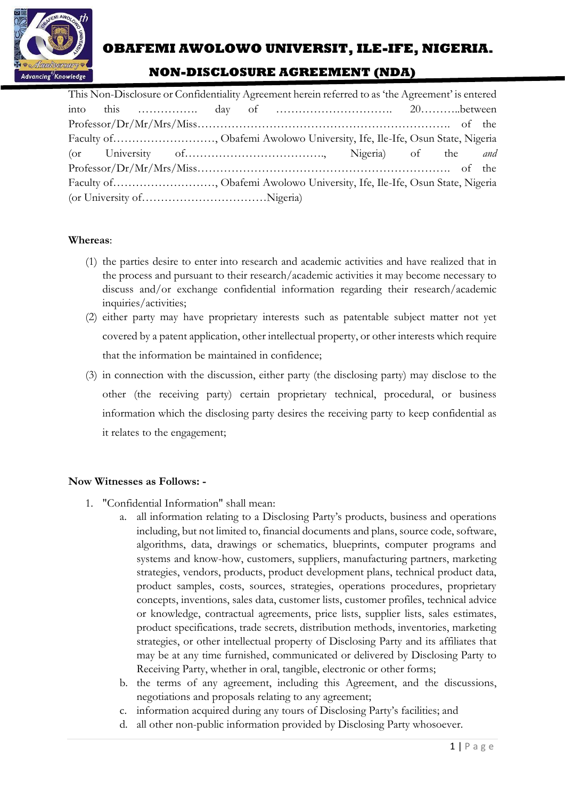

# **OBAFEMI AWOLOWO UNIVERSIT, ILE-IFE, NIGERIA.**

## **NON-DISCLOSURE AGREEMENT (NDA)**

| This Non-Disclosure or Confidentiality Agreement herein referred to as 'the Agreement' is entered |  |  |  |  |  |                                                   |  |  |  |
|---------------------------------------------------------------------------------------------------|--|--|--|--|--|---------------------------------------------------|--|--|--|
|                                                                                                   |  |  |  |  |  |                                                   |  |  |  |
|                                                                                                   |  |  |  |  |  | $Professor/Dr/Mr/Mrs/Miss$ of the                 |  |  |  |
| Faculty of , Obafemi Awolowo University, Ife, Ile-Ife, Osun State, Nigeria                        |  |  |  |  |  |                                                   |  |  |  |
|                                                                                                   |  |  |  |  |  | (or University of Communication of the <i>and</i> |  |  |  |
|                                                                                                   |  |  |  |  |  |                                                   |  |  |  |
| Faculty of , Obafemi Awolowo University, Ife, Ile-Ife, Osun State, Nigeria                        |  |  |  |  |  |                                                   |  |  |  |
|                                                                                                   |  |  |  |  |  |                                                   |  |  |  |

#### **Whereas**:

- (1) the parties desire to enter into research and academic activities and have realized that in the process and pursuant to their research/academic activities it may become necessary to discuss and/or exchange confidential information regarding their research/academic inquiries/activities;
- (2) either party may have proprietary interests such as patentable subject matter not yet covered by a patent application, other intellectual property, or other interests which require that the information be maintained in confidence;
- (3) in connection with the discussion, either party (the disclosing party) may disclose to the other (the receiving party) certain proprietary technical, procedural, or business information which the disclosing party desires the receiving party to keep confidential as it relates to the engagement;

#### **Now Witnesses as Follows: -**

- 1. "Confidential Information" shall mean:
	- a. all information relating to a Disclosing Party's products, business and operations including, but not limited to, financial documents and plans, source code, software, algorithms, data, drawings or schematics, blueprints, computer programs and systems and know-how, customers, suppliers, manufacturing partners, marketing strategies, vendors, products, product development plans, technical product data, product samples, costs, sources, strategies, operations procedures, proprietary concepts, inventions, sales data, customer lists, customer profiles, technical advice or knowledge, contractual agreements, price lists, supplier lists, sales estimates, product specifications, trade secrets, distribution methods, inventories, marketing strategies, or other intellectual property of Disclosing Party and its affiliates that may be at any time furnished, communicated or delivered by Disclosing Party to Receiving Party, whether in oral, tangible, electronic or other forms;
	- b. the terms of any agreement, including this Agreement, and the discussions, negotiations and proposals relating to any agreement;
	- c. information acquired during any tours of Disclosing Party's facilities; and
	- d. all other non-public information provided by Disclosing Party whosoever.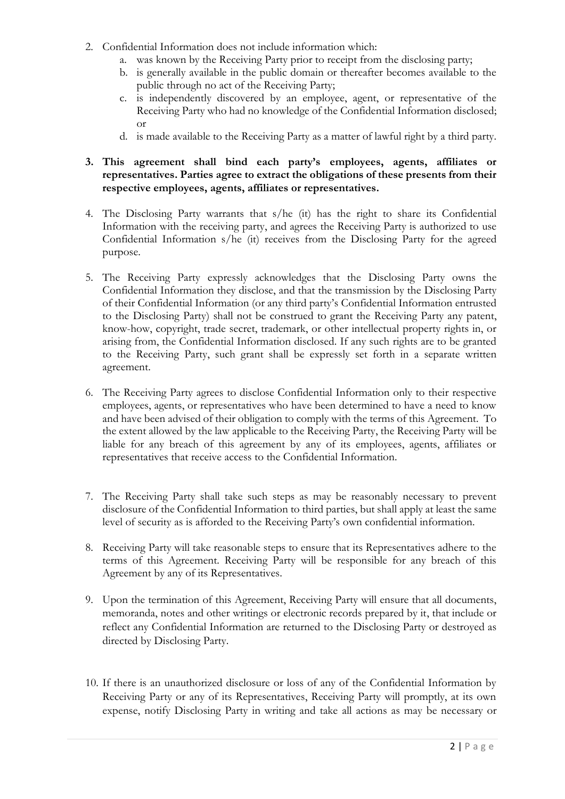- 2. Confidential Information does not include information which:
	- a. was known by the Receiving Party prior to receipt from the disclosing party;
	- b. is generally available in the public domain or thereafter becomes available to the public through no act of the Receiving Party;
	- c. is independently discovered by an employee, agent, or representative of the Receiving Party who had no knowledge of the Confidential Information disclosed; or
	- d. is made available to the Receiving Party as a matter of lawful right by a third party.

### **3. This agreement shall bind each party's employees, agents, affiliates or representatives. Parties agree to extract the obligations of these presents from their respective employees, agents, affiliates or representatives.**

- 4. The Disclosing Party warrants that s/he (it) has the right to share its Confidential Information with the receiving party, and agrees the Receiving Party is authorized to use Confidential Information s/he (it) receives from the Disclosing Party for the agreed purpose.
- 5. The Receiving Party expressly acknowledges that the Disclosing Party owns the Confidential Information they disclose, and that the transmission by the Disclosing Party of their Confidential Information (or any third party's Confidential Information entrusted to the Disclosing Party) shall not be construed to grant the Receiving Party any patent, know-how, copyright, trade secret, trademark, or other intellectual property rights in, or arising from, the Confidential Information disclosed. If any such rights are to be granted to the Receiving Party, such grant shall be expressly set forth in a separate written agreement.
- 6. The Receiving Party agrees to disclose Confidential Information only to their respective employees, agents, or representatives who have been determined to have a need to know and have been advised of their obligation to comply with the terms of this Agreement. To the extent allowed by the law applicable to the Receiving Party, the Receiving Party will be liable for any breach of this agreement by any of its employees, agents, affiliates or representatives that receive access to the Confidential Information.
- 7. The Receiving Party shall take such steps as may be reasonably necessary to prevent disclosure of the Confidential Information to third parties, but shall apply at least the same level of security as is afforded to the Receiving Party's own confidential information.
- 8. Receiving Party will take reasonable steps to ensure that its Representatives adhere to the terms of this Agreement. Receiving Party will be responsible for any breach of this Agreement by any of its Representatives.
- 9. Upon the termination of this Agreement, Receiving Party will ensure that all documents, memoranda, notes and other writings or electronic records prepared by it, that include or reflect any Confidential Information are returned to the Disclosing Party or destroyed as directed by Disclosing Party.
- 10. If there is an unauthorized disclosure or loss of any of the Confidential Information by Receiving Party or any of its Representatives, Receiving Party will promptly, at its own expense, notify Disclosing Party in writing and take all actions as may be necessary or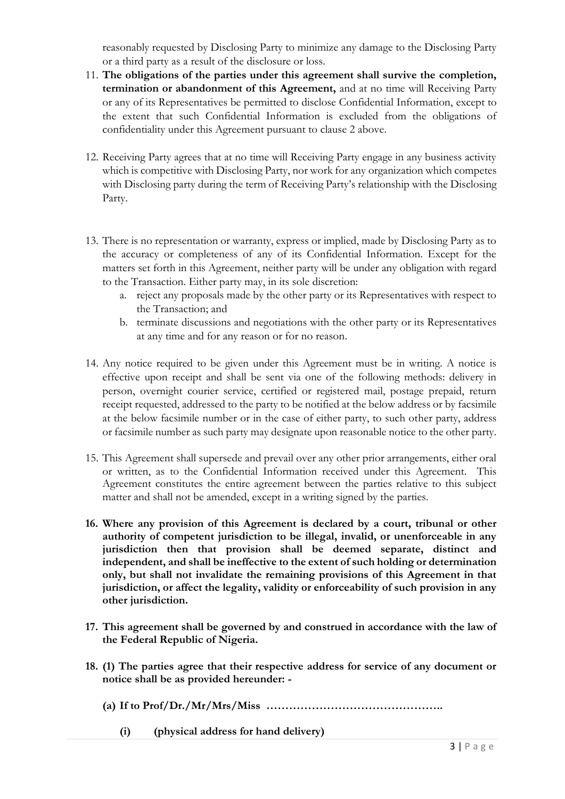reasonably requested by Disclosing Party to minimize any damage to the Disclosing Party or a third party as a result of the disclosure or loss.

- 11. **The obligations of the parties under this agreement shall survive the completion, termination or abandonment of this Agreement,** and at no time will Receiving Party or any of its Representatives be permitted to disclose Confidential Information, except to the extent that such Confidential Information is excluded from the obligations of confidentiality under this Agreement pursuant to clause 2 above.
- 12. Receiving Party agrees that at no time will Receiving Party engage in any business activity which is competitive with Disclosing Party, nor work for any organization which competes with Disclosing party during the term of Receiving Party's relationship with the Disclosing Party.
- 13. There is no representation or warranty, express or implied, made by Disclosing Party as to the accuracy or completeness of any of its Confidential Information. Except for the matters set forth in this Agreement, neither party will be under any obligation with regard to the Transaction. Either party may, in its sole discretion:
	- a. reject any proposals made by the other party or its Representatives with respect to the Transaction; and
	- b. terminate discussions and negotiations with the other party or its Representatives at any time and for any reason or for no reason.
- 14. Any notice required to be given under this Agreement must be in writing. A notice is effective upon receipt and shall be sent via one of the following methods: delivery in person, overnight courier service, certified or registered mail, postage prepaid, return receipt requested, addressed to the party to be notified at the below address or by facsimile at the below facsimile number or in the case of either party, to such other party, address or facsimile number as such party may designate upon reasonable notice to the other party.
- 15. This Agreement shall supersede and prevail over any other prior arrangements, either oral or written, as to the Confidential Information received under this Agreement. This Agreement constitutes the entire agreement between the parties relative to this subject matter and shall not be amended, except in a writing signed by the parties.
- **16. Where any provision of this Agreement is declared by a court, tribunal or other authority of competent jurisdiction to be illegal, invalid, or unenforceable in any jurisdiction then that provision shall be deemed separate, distinct and independent, and shall be ineffective to the extent of such holding or determination only, but shall not invalidate the remaining provisions of this Agreement in that jurisdiction, or affect the legality, validity or enforceability of such provision in any other jurisdiction.**
- **17. This agreement shall be governed by and construed in accordance with the law of the Federal Republic of Nigeria.**
- **18. (1) The parties agree that their respective address for service of any document or notice shall be as provided hereunder: -**
	- **(a) If to Prof/Dr./Mr/Mrs/Miss ………………………………………..**
		- **(i) (physical address for hand delivery)**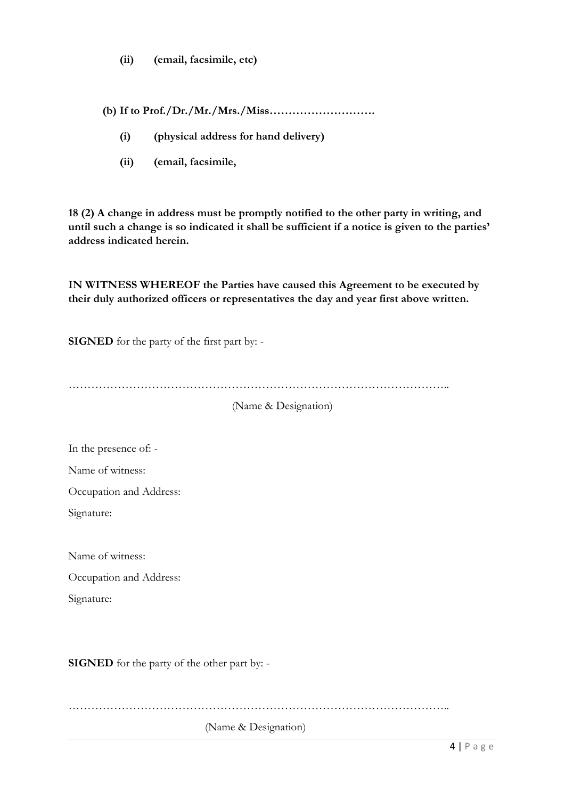**(ii) (email, facsimile, etc)**

**(b) If to Prof./Dr./Mr./Mrs./Miss……………………….**

- **(i) (physical address for hand delivery)**
- **(ii) (email, facsimile,**

**18 (2) A change in address must be promptly notified to the other party in writing, and until such a change is so indicated it shall be sufficient if a notice is given to the parties' address indicated herein.**

**IN WITNESS WHEREOF the Parties have caused this Agreement to be executed by their duly authorized officers or representatives the day and year first above written.**

**SIGNED** for the party of the first part by: -

………………………………………………………………………………………..

(Name & Designation)

In the presence of: -

Name of witness:

Occupation and Address:

Signature:

Name of witness:

Occupation and Address:

Signature:

**SIGNED** for the party of the other part by: -

………………………………………………………………………………………..

(Name & Designation)